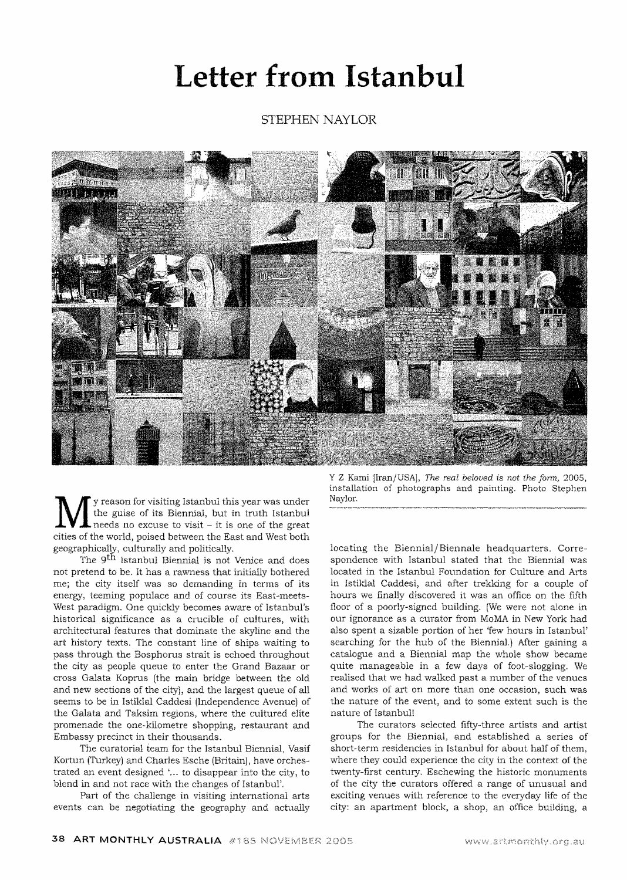## **Letter from Istanbul**

STEPHEN NAYLOR



y reason for visiting Istanbul this year was under the guise of its Biennial, but in truth Istanbul needs no excuse to visit - it is one of the great cities of the world, poised between the East and West both geographically, culturally and politically.

The 9<sup>th</sup> Istanbul Biennial is not Venice and does not pretend to be. It has a rawness that initially bothered me; the city itself was so demanding in terms of its energy, teeming populace and of course its East-meets-West paradigm. One quickly becomes aware of Istanbul's historical significance as a crucible of cultures, with architectural features that dominate the skyline and the art history texts. The constant line of ships waiting to pass through the Bosphorus strait is echoed throughout the city as people queue to enter the Grand Bazaar or cross Galata Koprus (the main bridge between the old and new sections of the city), and the largest queue of all seems to be in Istiklal Caddesi (Independence Avenue) of the Galata and Taksim regions, where the cultured elite promenade the one-kilometre shopping, restaurant and Embassy precinct in their thousands.

The curatorial team for the Istanbul Biennial, Vasif Kortun (Turkey) and Charles Esche (Britain), have orchestrated an event designed '... to disappear into the city, to blend in and not race with the changes of Istanbul'.

Part of the challenge in visiting international arts events can be negotiating the geography and actually

Y Z Karoi [Iran/USA), *The real beloved* is *not the jonn,* 2005, installation of photographs and painting. Photo Stephen Naylor.

locating the Biennial/Biennale headquarters. Correspondence with Istanbul stated that the Biennial was located in the Istanbul Foundation for Culture and Arts in Istiklal Caddesi, and after trekking for a couple of hours we finally discovered it was an office on the fifth floor of a poorly-signed building. (We were not alone in our ignorance as a curator from MaMA in New York had also spent a sizable portion of her 'few hours in Istanbul' searching for the hub of the Biennial.) After gaining a catalogue and a Biennial map the whole show became quite manageable in a few days of foot-slogging. We realised that we had walked past a number of the venues and works of art on more than one occasion, such was the nature of the event, and to some extent such is the nature of Istanbul!

The curators selected fifty-three artists and artist groups for the Biennial, and established a series of short-term residencies in Istanbul for about half of them, where they could experience the city in the context of the twenty-first century. Eschewing the historic monuments of the city the curators offered a range of unusual and exciting venues with reference to the everyday Hfe of the city: an apartment block, a shop, an office building, a